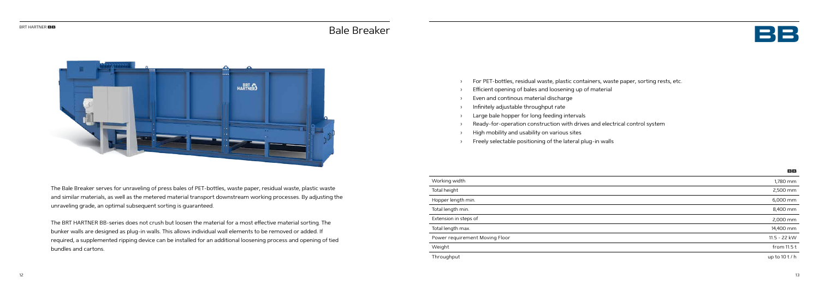

- For PET-bottles, residual waste, plastic containers, waste paper, sorting rests, etc.
- Efficient opening of bales and loosening up of material
- Even and continous material discharge
- › Infinitely adjustable throughput rate
- Large bale hopper for long feeding intervals
- Ready-for-operation construction with drives and electrical control system
- › High mobility and usability on various sites
- › Freely selectable positioning of the lateral plug-in walls



The Bale Breaker serves for unraveling of press bales of PET-bottles, waste paper, residual waste, plastic waste and similar materials, as well as the metered material transport downstream working processes. By adjusting the unraveling grade, an optimal subsequent sorting is guaranteed.

The BRT HARTNER BB-series does not crush but loosen the material for a most effective material sorting. The bunker walls are designed as plug-in walls. This allows individual wall elements to be removed or added. If required, a supplemented ripping device can be installed for an additional loosening process and opening of tied bundles and cartons.

## **BB**

| Working width                  | 1,780 mm      |
|--------------------------------|---------------|
| Total height                   | 2,500 mm      |
| Hopper length min.             | 6,000 mm      |
| Total length min.              | 8,400 mm      |
| Extension in steps of          | 2,000 mm      |
| Total length max.              | 14,400 mm     |
| Power requirement Moving Floor | 11.5 - 22 kW  |
| Weight                         | from $11.5t$  |
| Throughput                     | up to $10t/h$ |